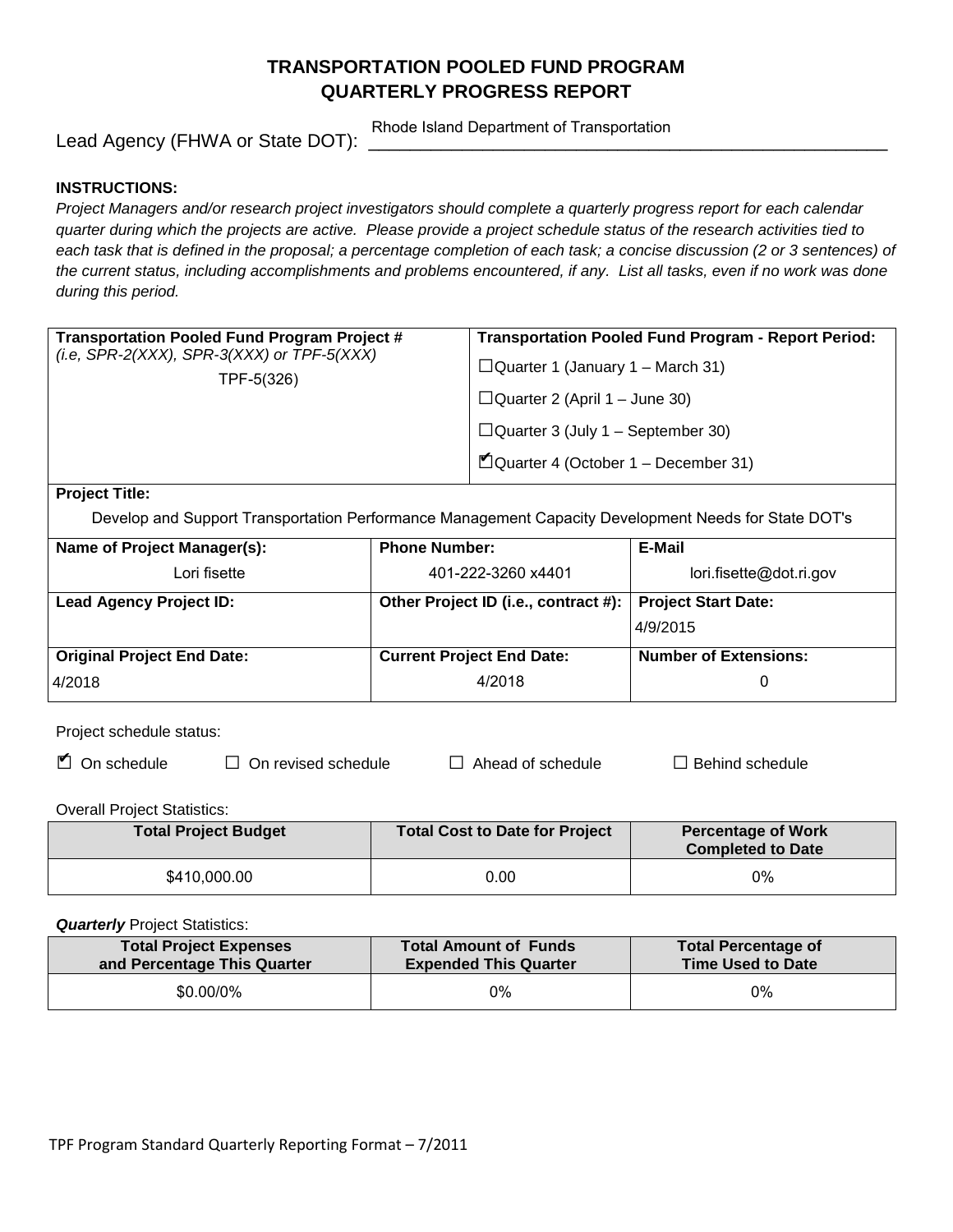# **TRANSPORTATION POOLED FUND PROGRAM QUARTERLY PROGRESS REPORT**

Lead Agency (FHWA or State DOT):

Rhode Island Department of Transportation

#### **INSTRUCTIONS:**

*Project Managers and/or research project investigators should complete a quarterly progress report for each calendar quarter during which the projects are active. Please provide a project schedule status of the research activities tied to*  each task that is defined in the proposal; a percentage completion of each task; a concise discussion (2 or 3 sentences) of *the current status, including accomplishments and problems encountered, if any. List all tasks, even if no work was done during this period.*

| Transportation Pooled Fund Program Project #<br>(i.e, SPR-2(XXX), SPR-3(XXX) or TPF-5(XXX)<br>TPF-5(326) | <b>Transportation Pooled Fund Program - Report Period:</b><br>$\Box$ Quarter 1 (January 1 – March 31)<br>$\Box$ Quarter 2 (April 1 – June 30)<br>$\Box$ Quarter 3 (July 1 – September 30) |
|----------------------------------------------------------------------------------------------------------|-------------------------------------------------------------------------------------------------------------------------------------------------------------------------------------------|
| $\sim$<br>---                                                                                            | $\blacksquare$ Quarter 4 (October 1 – December 31)                                                                                                                                        |

**Project Title:**

Develop and Support Transportation Performance Management Capacity Development Needs for State DOT's

| Name of Project Manager(s):       | <b>Phone Number:</b>                 | E-Mail                       |
|-----------------------------------|--------------------------------------|------------------------------|
| Lori fisette                      | 401-222-3260 x4401                   | lori.fisette@dot.ri.gov      |
| <b>Lead Agency Project ID:</b>    | Other Project ID (i.e., contract #): | <b>Project Start Date:</b>   |
|                                   |                                      | 4/9/2015                     |
| <b>Original Project End Date:</b> | <b>Current Project End Date:</b>     | <b>Number of Extensions:</b> |
| 4/2018                            | 4/2018                               |                              |

Project schedule status:

| $\blacksquare$ On schedule | $\Box$ On revised schedule |
|----------------------------|----------------------------|
|                            |                            |

□ Ahead of schedule □ Behind schedule

Overall Project Statistics:

| <b>Total Project Budget</b> | Total Cost to Date for Project | <b>Percentage of Work</b><br><b>Completed to Date</b> |
|-----------------------------|--------------------------------|-------------------------------------------------------|
| \$410,000.00                | 0.00                           | 0%                                                    |

**Quarterly** Project Statistics:

| <b>Total Project Expenses</b> | <b>Total Amount of Funds</b> | <b>Total Percentage of</b> |
|-------------------------------|------------------------------|----------------------------|
| and Percentage This Quarter   | <b>Expended This Quarter</b> | Time Used to Date          |
| \$0.00/0%                     | 0%                           | 0%                         |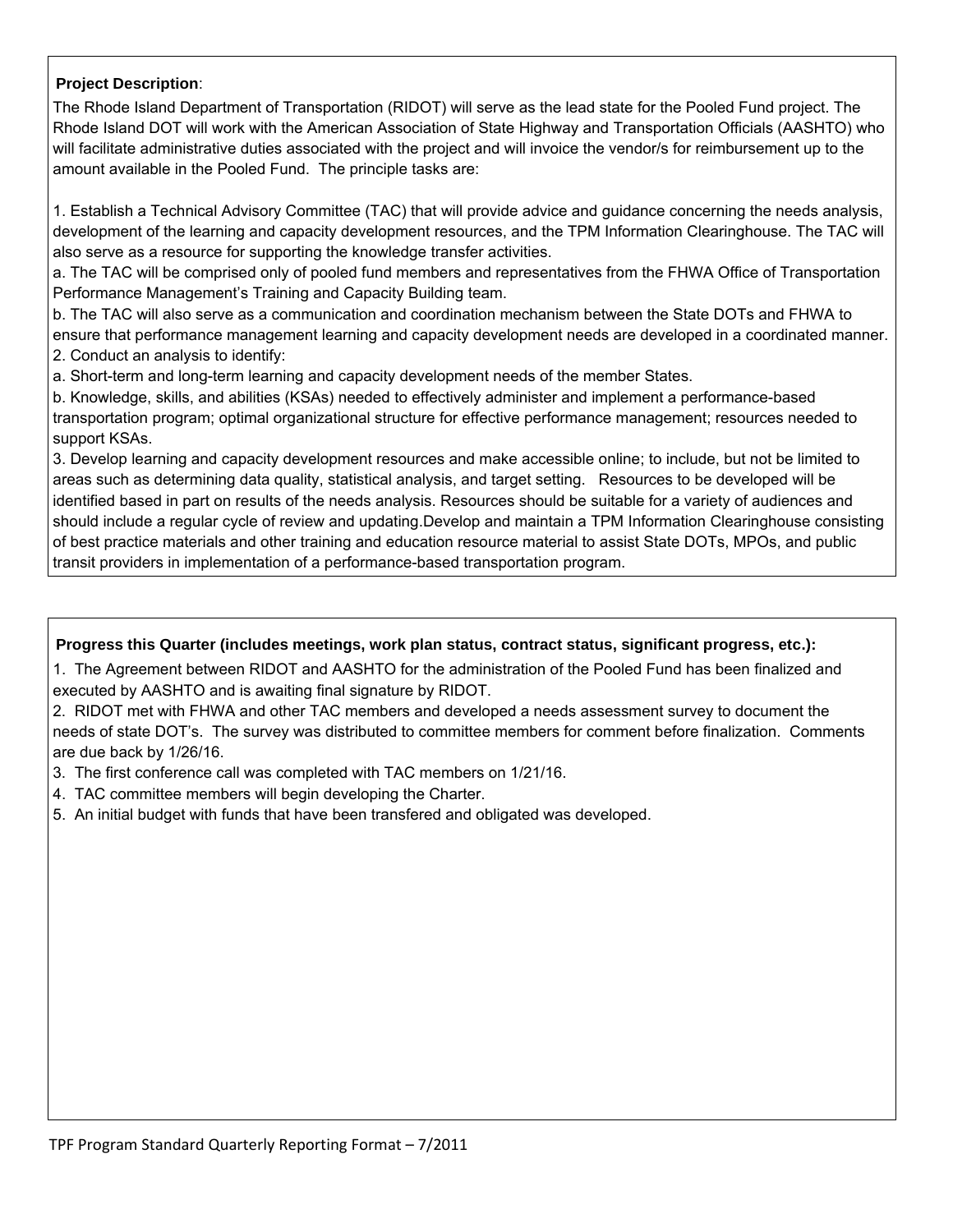## **Project Description**:

The Rhode Island Department of Transportation (RIDOT) will serve as the lead state for the Pooled Fund project. The Rhode Island DOT will work with the American Association of State Highway and Transportation Officials (AASHTO) who will facilitate administrative duties associated with the project and will invoice the vendor/s for reimbursement up to the amount available in the Pooled Fund. The principle tasks are:

1. Establish a Technical Advisory Committee (TAC) that will provide advice and guidance concerning the needs analysis, development of the learning and capacity development resources, and the TPM Information Clearinghouse. The TAC will also serve as a resource for supporting the knowledge transfer activities.

a. The TAC will be comprised only of pooled fund members and representatives from the FHWA Office of Transportation Performance Management's Training and Capacity Building team.

b. The TAC will also serve as a communication and coordination mechanism between the State DOTs and FHWA to ensure that performance management learning and capacity development needs are developed in a coordinated manner. 2. Conduct an analysis to identify:

a. Short-term and long-term learning and capacity development needs of the member States.

b. Knowledge, skills, and abilities (KSAs) needed to effectively administer and implement a performance-based transportation program; optimal organizational structure for effective performance management; resources needed to support KSAs.

3. Develop learning and capacity development resources and make accessible online; to include, but not be limited to areas such as determining data quality, statistical analysis, and target setting. Resources to be developed will be identified based in part on results of the needs analysis. Resources should be suitable for a variety of audiences and should include a regular cycle of review and updating.Develop and maintain a TPM Information Clearinghouse consisting of best practice materials and other training and education resource material to assist State DOTs, MPOs, and public transit providers in implementation of a performance-based transportation program.

### Progress this Quarter (includes meetings, work plan status, contract status, significant progress, etc.):

1. The Agreement between RIDOT and AASHTO for the administration of the Pooled Fund has been finalized and executed by AASHTO and is awaiting final signature by RIDOT.

2. RIDOT met with FHWA and other TAC members and developed a needs assessment survey to document the needs of state DOT's. The survey was distributed to committee members for comment before finalization. Comments are due back by 1/26/16.

3. The first conference call was completed with TAC members on 1/21/16.

4. TAC committee members will begin developing the Charter.

5. An initial budget with funds that have been transfered and obligated was developed.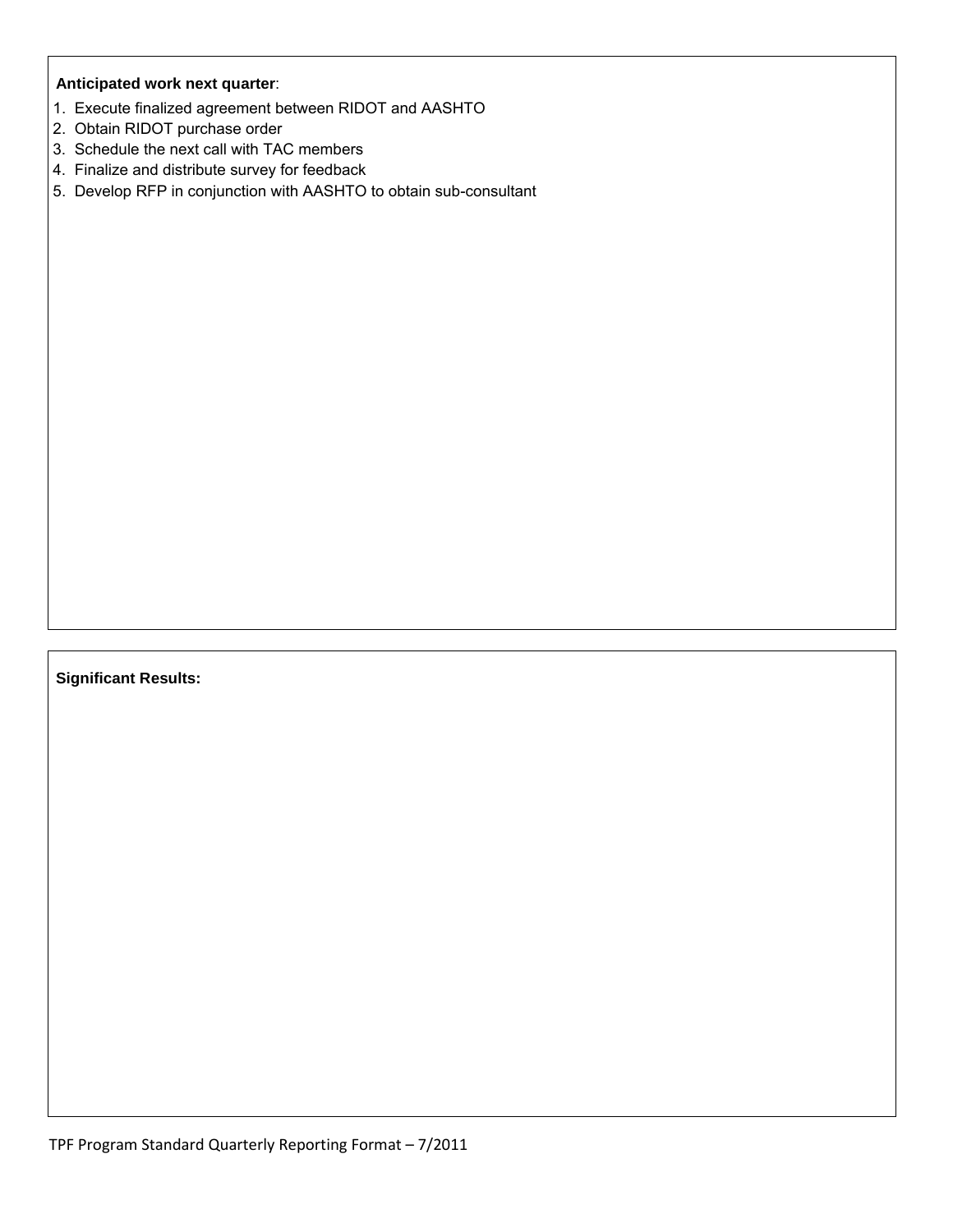## **Anticipated work next quarter**:

- 1. Execute finalized agreement between RIDOT and AASHTO
- 2. Obtain RIDOT purchase order
- 3. Schedule the next call with TAC members
- 4. Finalize and distribute survey for feedback
- 5. Develop RFP in conjunction with AASHTO to obtain sub-consultant

**Significant Results:**